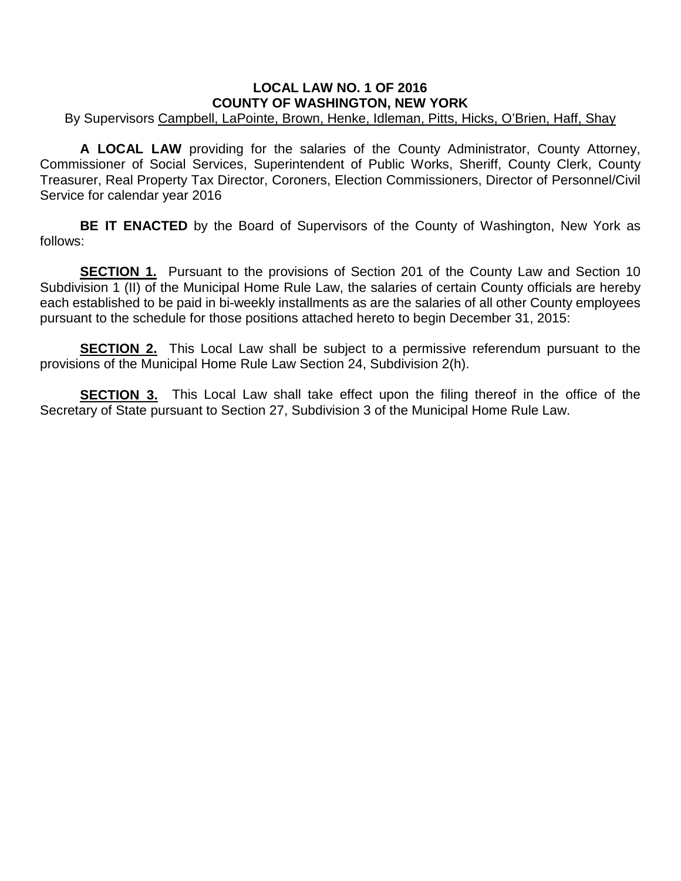## **LOCAL LAW NO. 1 OF 2016 COUNTY OF WASHINGTON, NEW YORK**

## By Supervisors Campbell, LaPointe, Brown, Henke, Idleman, Pitts, Hicks, O'Brien, Haff, Shay

 **A LOCAL LAW** providing for the salaries of the County Administrator, County Attorney, Commissioner of Social Services, Superintendent of Public Works, Sheriff, County Clerk, County Treasurer, Real Property Tax Director, Coroners, Election Commissioners, Director of Personnel/Civil Service for calendar year 2016

**BE IT ENACTED** by the Board of Supervisors of the County of Washington, New York as follows:

**SECTION 1.** Pursuant to the provisions of Section 201 of the County Law and Section 10 Subdivision 1 (II) of the Municipal Home Rule Law, the salaries of certain County officials are hereby each established to be paid in bi-weekly installments as are the salaries of all other County employees pursuant to the schedule for those positions attached hereto to begin December 31, 2015:

**SECTION 2.** This Local Law shall be subject to a permissive referendum pursuant to the provisions of the Municipal Home Rule Law Section 24, Subdivision 2(h).

**SECTION 3.** This Local Law shall take effect upon the filing thereof in the office of the Secretary of State pursuant to Section 27, Subdivision 3 of the Municipal Home Rule Law.